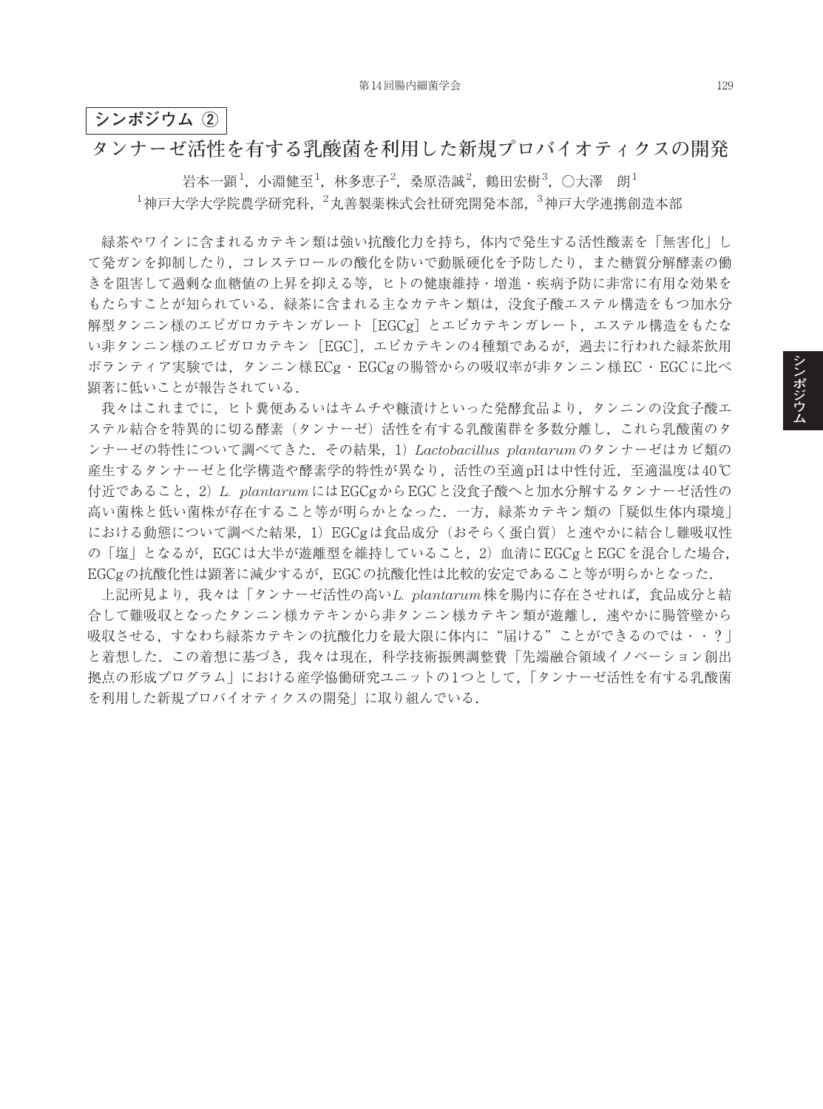## **シンポジウム ②**

## **タンナーゼ活性を有する乳酸菌を利用した新規プロバイオティクスの開発**

岩本一顕 $^1$ ,小淵健至 $^1$ ,林多恵子 $^2$ ,桑原浩誠 $^2$ ,鶴田宏樹 $^3$ ,〇大澤 朗 $^1$  $^1$ 神戸大学大学院農学研究科, $^2$ 丸善製薬株式会社研究開発本部, $^3$ 神戸大学連携創造本部

緑茶やワインに含まれるカテキン類は強い抗酸化力を持ち,体内で発生する活性酸素を「無害化」し て発ガンを抑制したり,コレステロールの酸化を防いで動脈硬化を予防したり,また糖質分解酵素の働 きを阻害して過剰な血糖値の上昇を抑える等,ヒトの健康維持・増進・疾病予防に非常に有用な効果を もたらすことが知られている.緑茶に含まれる主なカテキン類は,没食子酸エステル構造をもつ加水分 解型タンニン様のエピガロカテキンガレート [EGCg] とエピカテキンガレート,エステル構造をもたな い非タンニン様のエピガロカテキン[EGC],エピカテキンの4種類であるが,過去に行われた緑茶飲用 ボランティア実験では,タンニン様ECg・EGCgの腸管からの吸収率が非タンニン様EC・EGCに比べ 顕著に低いことが報告されている.

我々はこれまでに,ヒト糞便あるいはキムチや糠漬けといった発酵食品より,タンニンの没食子酸エ ステル結合を特異的に切る酵素(タンナーゼ)活性を有する乳酸菌群を多数分離し,これら乳酸菌のタ ンナーゼの特性について調べてきた.その結果,1)*Lactobacillus plantarum*のタンナーゼはカビ類の 産生するタンナーゼと化学構造や酵素学的特性が異なり,活性の至適pHは中性付近,至適温度は40℃ 付近であること,2)*L. plantarum*にはEGCgからEGCと没食子酸へと加水分解するタンナーゼ活性の 高い菌株と低い菌株が存在すること等が明らかとなった.一方,緑茶カテキン類の「疑似生体内環境」 における動態について調べた結果,1)EGCgは食品成分(おそらく蛋白質)と速やかに結合し難吸収性 の「塩」となるが、EGCは大半が遊離型を維持していること、2)血清にEGCgとEGCを混合した場合、 EGCgの抗酸化性は顕著に減少するが, EGCの抗酸化性は比較的安定であること等が明らかとなった.

上記所見より,我々は「タンナーゼ活性の高い*L. plantarum*株を腸内に存在させれば,食品成分と結 合して難吸収となったタンニン様カテキンシンのポカテキン類が遊離し、速やかに腸管壁から 吸収させる,すなわち緑茶カテキンの抗酸化力を最大限に体内に"届ける"ことができるのでは・・?」 と着想した.この着想に基づき,我々は現在,科学技術振興調整費「先端融合領域イノベーション創出 拠点の形成プログラム」における産学恊働研究ユニットの1つとして,「タンナーゼ活性を有する乳酸菌 を利用した新規プロバイオティクスの開発」に取り組んでいる.